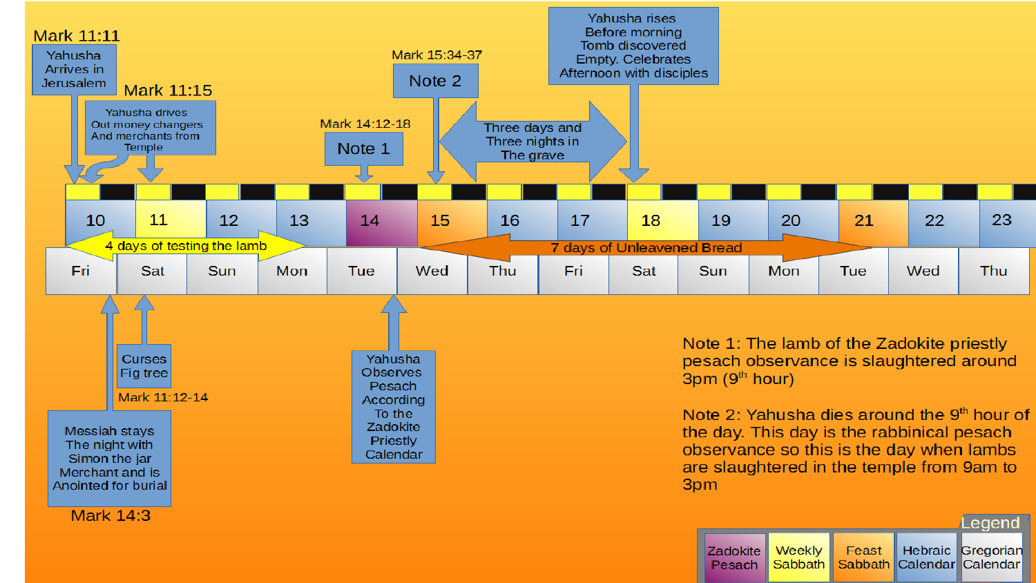

Zadokite Weekly Hebraic Gregorian Feast Sabbath Calendar Calendar Pesach Sabbath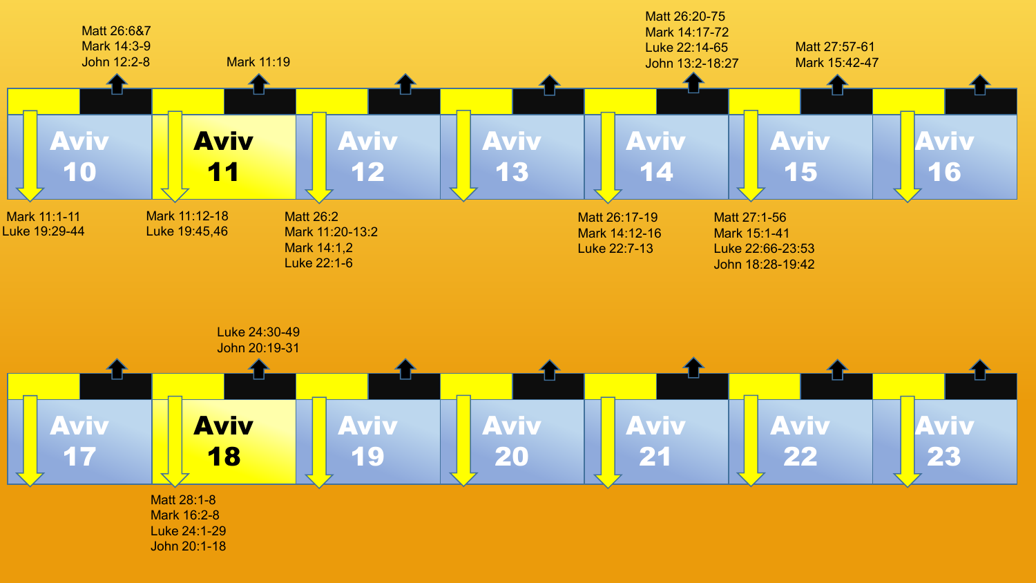

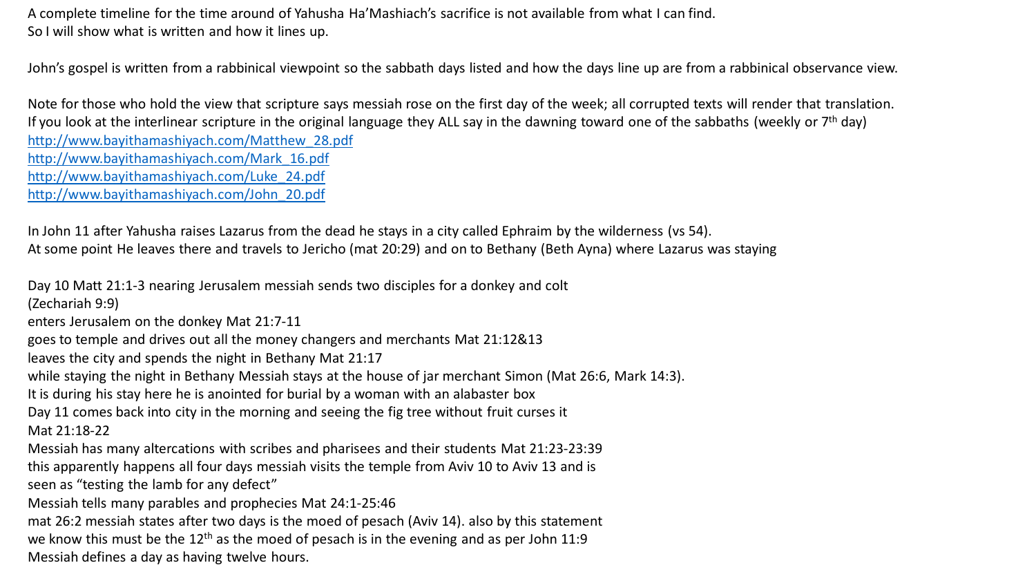A complete timeline for the time around of Yahusha Ha'Mashiach's sacrifice is not available from what I can find. So I will show what is written and how it lines up.

John's gospel is written from a rabbinical viewpoint so the sabbath days listed and how the days line up are from a rabbinical observance view.

Note for those who hold the view that scripture says messiah rose on the first day of the week; all corrupted texts will render that translation. If you look at the interlinear scripture in the original language they ALL say in the dawning toward one of the sabbaths (weekly or  $7<sup>th</sup>$  day) [http://www.bayithamashiyach.com/Matthew\\_28.pdf](http://www.bayithamashiyach.com/Matthew_28.pdf) [http://www.bayithamashiyach.com/Mark\\_16.pdf](http://www.bayithamashiyach.com/Mark_16.pdf) [http://www.bayithamashiyach.com/Luke\\_24.pdf](http://www.bayithamashiyach.com/Luke_24.pdf) [http://www.bayithamashiyach.com/John\\_20.pdf](http://www.bayithamashiyach.com/John_20.pdf)

In John 11 after Yahusha raises Lazarus from the dead he stays in a city called Ephraim by the wilderness (vs 54). At some point He leaves there and travels to Jericho (mat 20:29) and on to Bethany (Beth Ayna) where Lazarus was staying

Day 10 Matt 21:1-3 nearing Jerusalem messiah sends two disciples for a donkey and colt

(Zechariah 9:9)

enters Jerusalem on the donkey Mat 21:7-11

goes to temple and drives out all the money changers and merchants Mat 21:12&13

leaves the city and spends the night in Bethany Mat 21:17

while staying the night in Bethany Messiah stays at the house of jar merchant Simon (Mat 26:6, Mark 14:3).

It is during his stay here he is anointed for burial by a woman with an alabaster box

Day 11 comes back into city in the morning and seeing the fig tree without fruit curses it

Mat 21:18-22

Messiah has many altercations with scribes and pharisees and their students Mat 21:23-23:39

this apparently happens all four days messiah visits the temple from Aviv 10 to Aviv 13 and is

seen as "testing the lamb for any defect"

Messiah tells many parables and prophecies Mat 24:1-25:46

mat 26:2 messiah states after two days is the moed of pesach (Aviv 14). also by this statement we know this must be the  $12<sup>th</sup>$  as the moed of pesach is in the evening and as per John 11:9 Messiah defines a day as having twelve hours.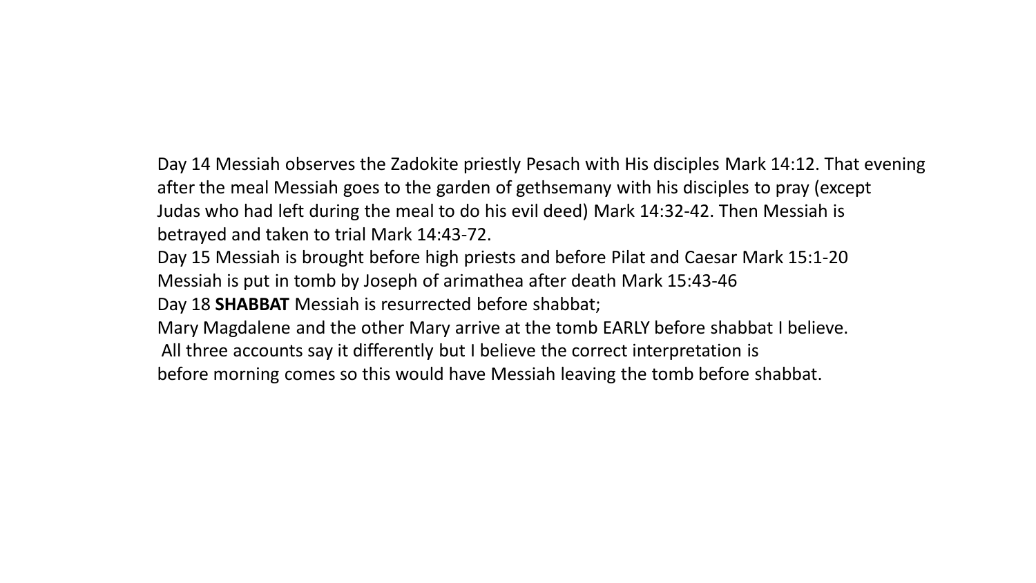## Day 14 Messiah observes the Zadokite priestly Pesach with His disciples Mark 14:12. That evening after the meal Messiah goes to the garden of gethsemany with his disciples to pray (except Judas who had left during the meal to do his evil deed) Mark 14:32-42. Then Messiah is betrayed and taken to trial Mark 14:43-72.

- Day 15 Messiah is brought before high priests and before Pilat and Caesar Mark 15:1-20 Messiah is put in tomb by Joseph of arimathea after death Mark 15:43-46
- Day 18 **SHABBAT** Messiah is resurrected before shabbat;
- Mary Magdalene and the other Mary arrive at the tomb EARLY before shabbat I believe.
- All three accounts say it differently but I believe the correct interpretation is
- before morning comes so this would have Messiah leaving the tomb before shabbat.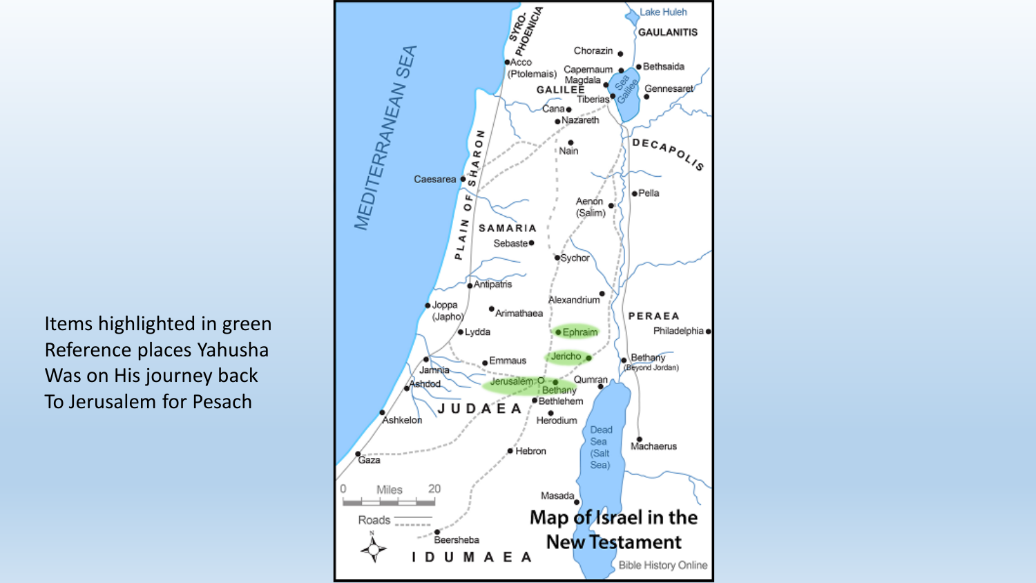Items highlighted in green Reference places Yahusha Was on His journey back To Jerusalem for Pesach